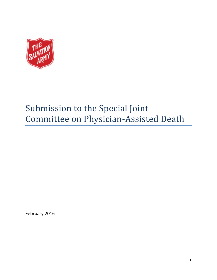

# Submission to the Special Joint Committee on Physician-Assisted Death

February 2016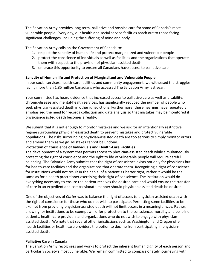The Salvation Army provides long term, palliative and hospice care for some of Canada's most vulnerable people. Every day, our health and social service facilities reach out to those facing significant challenges, including the suffering of mind and body.

The Salvation Army calls on the Government of Canada to:

- 1. respect the sanctity of human life and protect marginalized and vulnerable people
- 2. protect the conscience of individuals as well as facilities and the organizations that operate them with respect to the provision of physician-assisted death
- 3. embrace this opportunity to ensure all Canadians have access to palliative care

## **Sanctity of Human life and Protection of Marginalized and Vulnerable People**

In our social services, health-care facilities and community engagement, we witnessed the struggles facing more than 1.85 million Canadians who accessed The Salvation Army last year.

Your committee has heard evidence that increased access to palliative care as well as disability, chronic-disease and mental-health services, has significantly reduced the number of people who seek physician-assisted death in other jurisdictions. Furthermore, these hearings have repeatedly emphasized the need for records collection and data analysis so that mistakes may be monitored if physician-assisted death becomes a reality.

We submit that it is not enough to monitor mistakes and we ask for an intentionally restrictive regime surrounding physician-assisted death to prevent mistakes and protect vulnerable populations. The risks surrounding physician-assisted death are too serious to simply monitor errors and amend them as we go. Mistakes cannot be undone.

### **Protection of Conscience of Individuals and Health-Care Facilities**

The development of a system that permits access to physician-assisted death while simultaneously protecting the right of conscience and the right to life of vulnerable people will require careful balancing. The Salvation Army submits that the right of conscience exists not only for physicians but for health-care facilities and the organizations that operate them. Recognizing a right of conscience for institutions would not result in the denial of a patient's Charter right; rather it would be the same as for a health practitioner exercising their right of conscience. The institution would do everything necessary to ensure the patient receives the desired care and would ensure the transfer of care in an expedient and compassionate manner should physician assisted death be desired.

One of the objectives of *Carter* was to balance the right of access to physician-assisted death with the right of conscience for those who do not wish to participate. Permitting some facilities to be exempt from providing physician-assisted death will not limit access in a meaningful way. Rather, allowing for institutions to be exempt will offer protection to the conscience, morality and beliefs of patients, health-care providers and organizations who do not wish to engage with physicianassisted death. We note that several other jurisdictions such as Washington and Oregon offer health facilities or health care providers the option to decline from participating in physicianassisted death.

# **Palliative Care in Canada**

The Salvation Army recognizes and works to protect the inherent human dignity of each person and particularly society's most vulnerable. We remain committed to compassionately journeying with